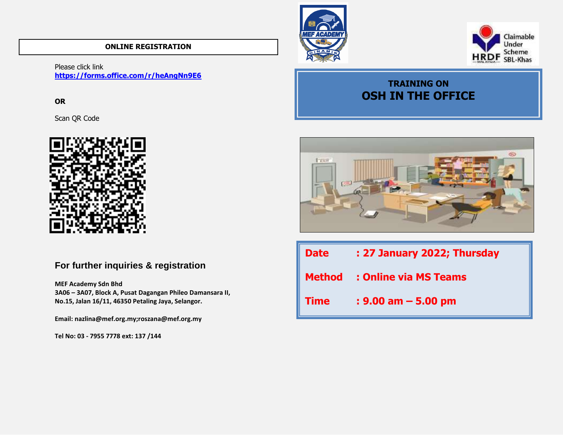### **ONLINE REGISTRATION**

Please click link **<https://forms.office.com/r/heAngNn9E6>**

**OR** 

Scan QR Code



## **For further inquiries & registration**

**MEF Academy Sdn Bhd 3A06 – 3A07, Block A, Pusat Dagangan Phileo Damansara II, No.15, Jalan 16/11, 46350 Petaling Jaya, Selangor.**

**Email: nazlina@mef.org.my;roszana@mef.org.my**

**Tel No: 03 - 7955 7778 ext: 137 /144** 





# **TRAINING ON OSH IN THE OFFICE**



| <b>Date</b> | : 27 January 2022; Thursday         |
|-------------|-------------------------------------|
|             | <b>Method</b> : Online via MS Teams |
| <b>Time</b> | $: 9.00$ am $-5.00$ pm              |